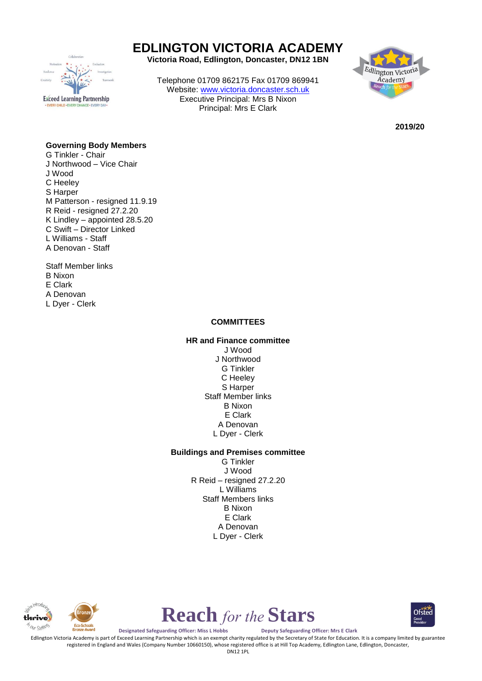

# **EDLINGTON VICTORIA ACADEMY**

**Victoria Road, Edlington, Doncaster, DN12 1BN**

Telephone 01709 862175 Fax 01709 869941 Website: [www.victoria.doncaster.sch.uk](http://www.victoria.doncaster.sch.uk/) Executive Principal: Mrs B Nixon Principal: Mrs E Clark



**2019/20**

### **Governing Body Members**

- G Tinkler Chair J Northwood – Vice Chair J Wood C Heeley S Harper M Patterson - resigned 11.9.19 R Reid - resigned 27.2.20 K Lindley – appointed 28.5.20 C Swift – Director Linked L Williams - Staff A Denovan - Staff
- Staff Member links B Nixon E Clark A Denovan L Dyer - Clerk

#### **COMMITTEES**

## **HR and Finance committee**

J Wood J Northwood G Tinkler C Heeley S Harper Staff Member links B Nixon E Clark A Denovan L Dyer - Clerk

#### **Buildings and Premises committee**

G Tinkler J Wood R Reid – resigned 27.2.20 L Williams Staff Members links B Nixon E Clark A Denovan L Dyer - Clerk





**Designated Safeguarding Officer: Miss L Hobbs Deputy Safeguarding Officer: Mrs E Clark**

Edlington Victoria Academy is part of Exceed Learning Partnership which is an exempt charity regulated by the Secretary of State for Education. It is a company limited by guarantee registered in England and Wales (Company Number 10660150), whose registered office is at Hill Top Academy, Edlington Lane, Edlington, Doncaster,

**Reach** *for the* **Stars**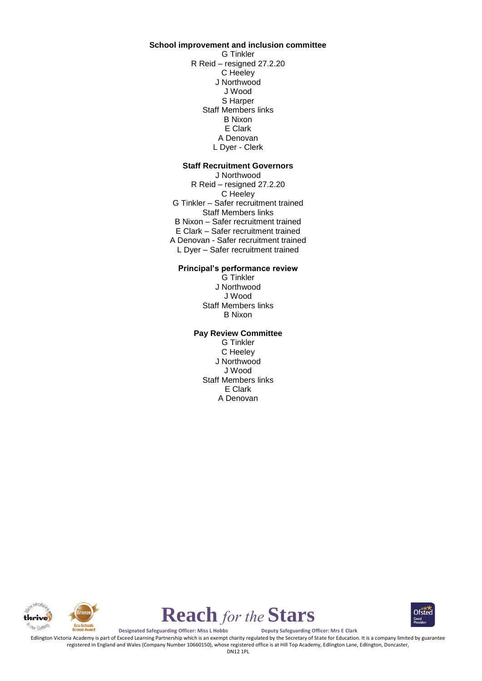**School improvement and inclusion committee** G Tinkler R Reid – resigned 27.2.20 C Heeley J Northwood J Wood S Harper Staff Members links B Nixon E Clark A Denovan L Dyer - Clerk

#### **Staff Recruitment Governors**

J Northwood R Reid – resigned 27.2.20 C Heeley G Tinkler – Safer recruitment trained Staff Members links B Nixon – Safer recruitment trained E Clark – Safer recruitment trained A Denovan - Safer recruitment trained L Dyer – Safer recruitment trained

#### **Principal's performance review**

G Tinkler J Northwood J Wood Staff Members links B Nixon

#### **Pay Review Committee**

G Tinkler C Heeley J Northwood J Wood Staff Members links E Clark A Denovan





Ofsted

**Designated Safeguarding Officer: Miss L Hobbs Deputy Safeguarding Officer: Mrs E Clark**

Edlington Victoria Academy is part of Exceed Learning Partnership which is an exempt charity regulated by the Secretary of State for Education. It is a company limited by guarantee registered in England and Wales (Company Number 10660150), whose registered office is at Hill Top Academy, Edlington Lane, Edlington, Doncaster,